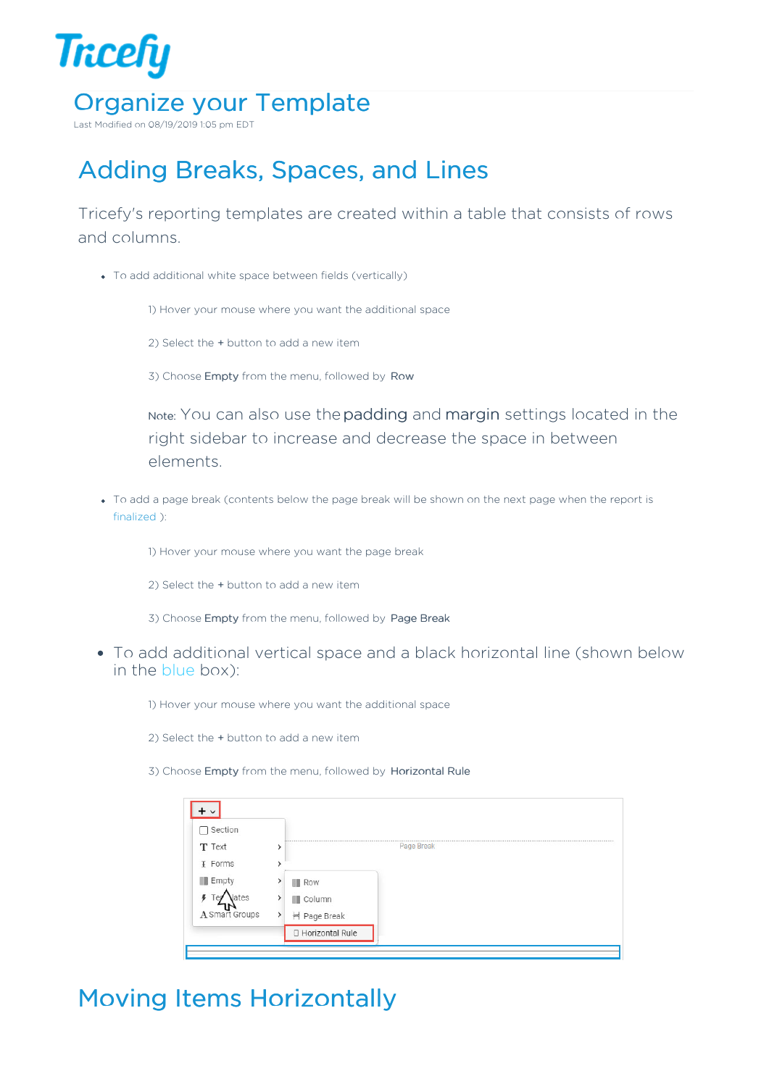

Last Modified on 08/19/2019 1:05 pm EDT

# Adding Breaks, Spaces, and Lines

Tricefy's reporting templates are created within a table that consists of rows and columns.

To add additional white space between fields (vertically)

1) Hover your mouse where you want the additional space

- 2) Select the + button to add a new item
- 3) Choose Empty from the menu, followed by Row

Note: You can also use thepadding and margin settings located in the right sidebar to increase and decrease the space in between elements.

To add a page break (contents below the page break will be shown on the next page when the report is finalized ):

1) Hover your mouse where you want the page break

2) Select the + button to add a new item

3) Choose Empty from the menu, followed by Page Break

To add additional vertical space and a black horizontal line (shown below in the blue box):

1) Hover your mouse where you want the additional space

- 2) Select the + button to add a new item
- 3) Choose Empty from the menu, followed by Horizontal Rule

| Section        |               |                   |            |
|----------------|---------------|-------------------|------------|
| T Text         |               |                   | Page Break |
| <b>I</b> Forms |               |                   |            |
| <b>Empty</b>   |               | Row               |            |
| Jates          |               | Column            |            |
| A Smart Groups | $\rightarrow$ | H Page Break      |            |
|                |               | □ Horizontal Rule |            |

## Moving Items Horizontally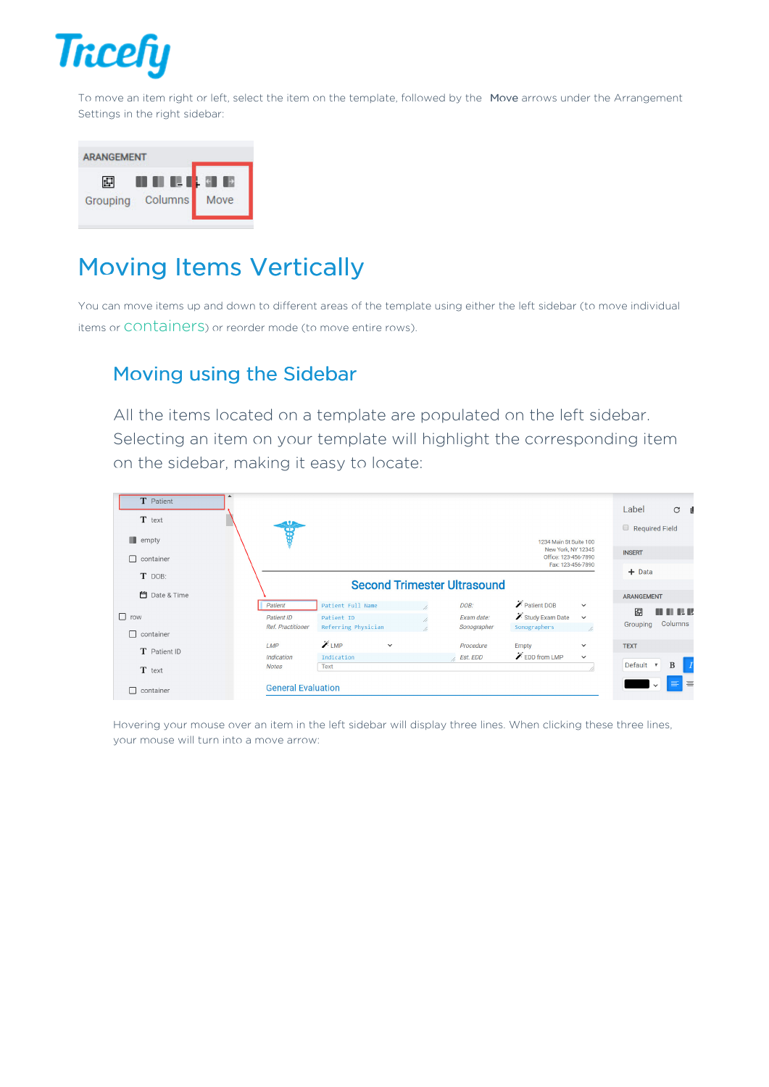

To move an item right or left, select the item on the template, followed by the Move arrows under the Arrangement Settings in the right sidebar:



### Moving Items Vertically

You can move items up and down to different areas of the template using either the left sidebar (to move individual items or CONTainers) or reorder mode (to move entire rows).

#### Moving using the Sidebar

All the items located on a template are populated on the left sidebar. Selecting an item on your template will highlight the corresponding item on the sidebar, making it easy to locate:

| $T$ Patient<br>T text |                                                          |                                                              |                                   |                                                                 | Label<br>$C$ $\blacksquare$                                            |
|-----------------------|----------------------------------------------------------|--------------------------------------------------------------|-----------------------------------|-----------------------------------------------------------------|------------------------------------------------------------------------|
| $\blacksquare$ empty  | 99                                                       |                                                              |                                   | 1234 Main St Suite 100                                          | $\Box$<br><b>Required Field</b>                                        |
| П<br>container        |                                                          |                                                              |                                   | New York, NY 12345<br>Office: 123-456-7890<br>Fax: 123-456-7890 | <b>INSERT</b>                                                          |
| T DOB:                |                                                          | <b>Second Trimester Ultrasound</b>                           |                                   |                                                                 | $+$ Data                                                               |
| <b>□</b> Date & Time  |                                                          |                                                              |                                   |                                                                 | <b>ARANGEMENT</b>                                                      |
| $\Box$ row            | Patient<br><b>Patient ID</b><br><b>Ref. Practitioner</b> | Patient Full Name<br>Patient ID<br>11<br>Referring Physician | DOB:<br>Exam date:<br>Sonographer | Patient DOB<br>Study Exam Date<br>Sonographers                  | $\check{~}$<br>囸<br><b>THE R</b><br>$\check{~}$<br>Columns<br>Grouping |
| П<br>container        | <b>LMP</b>                                               | $\chi$ LMP<br>$\checkmark$                                   | Procedure                         | Empty                                                           | <b>TEXT</b><br>$\check{~}$                                             |
| T Patient ID          | <b>Indication</b>                                        | Indication                                                   | <b>Est.</b> EDD                   | $\mathscr{L}$ EDD from LMP                                      | $\checkmark$                                                           |
| T text                | <b>Notes</b>                                             | Text                                                         |                                   |                                                                 | Default <b>v</b><br>B                                                  |
| ⊓<br>container        | <b>General Evaluation</b>                                |                                                              |                                   |                                                                 | $\equiv$<br>$\equiv$<br>$\checkmark$                                   |

Hovering your mouse over an item in the left sidebar will display three lines. When clicking these three lines, your mouse will turn into a move arrow: